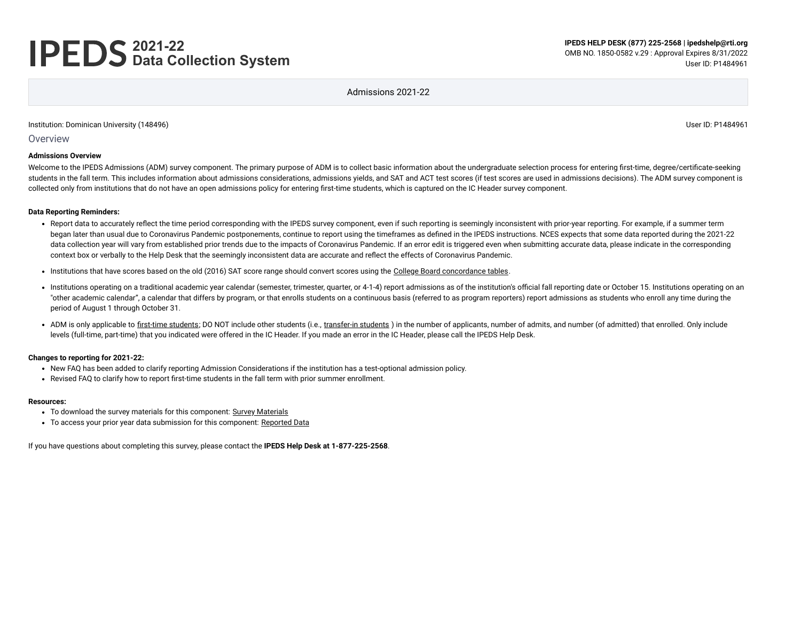# **2021-22 Data Collection System**

Admissions 2021-22

#### Institution: Dominican University (148496) User ID: P1484961

**Overview** 

#### **Admissions Overview**

Welcome to the IPEDS Admissions (ADM) survey component. The primary purpose of ADM is to collect basic information about the undergraduate selection process for entering first-time, degree/certificate-seeking students in the fall term. This includes information about admissions considerations, admissions yields, and SAT and ACT test scores (if test scores are used in admissions decisions). The ADM survey component is collected only from institutions that do not have an open admissions policy for entering first-time students, which is captured on the IC Header survey component.

#### **Data Reporting Reminders:**

- Report data to accurately reflect the time period corresponding with the IPEDS survey component, even if such reporting is seemingly inconsistent with prior-year reporting. For example, if a summer term began later than usual due to Coronavirus Pandemic postponements, continue to report using the timeframes as defined in the IPEDS instructions. NCES expects that some data reported during the 2021-22 data collection year will vary from established prior trends due to the impacts of Coronavirus Pandemic. If an error edit is triggered even when submitting accurate data, please indicate in the corresponding context box or verbally to the Help Desk that the seemingly inconsistent data are accurate and reflect the effects of Coronavirus Pandemic.
- Institutions that have scores based on the old (2016) SAT score range should convert scores using the [College Board concordance tables.](https://collegereadiness.collegeboard.org/educators/higher-ed/scoring-changes/concordance)
- Institutions operating on a traditional academic year calendar (semester, trimester, quarter, or 4-1-4) report admissions as of the institution's official fall reporting date or October 15. Institutions operating on an "other academic calendar", a calendar that differs by program, or that enrolls students on a continuous basis (referred to as program reporters) report admissions as students who enroll any time during the period of August 1 through October 31.
- ADM is only applicable to [first-time students;](javascript:openglossary(241)) DO NOT include other students (i.e., [transfer-in students](javascript:openglossary(1087))) in the number of applicants, number of admits, and number (of admitted) that enrolled. Only include levels (full-time, part-time) that you indicated were offered in the IC Header. If you made an error in the IC Header, please call the IPEDS Help Desk.

#### **Changes to reporting for 2021-22:**

- New FAQ has been added to clarify reporting Admission Considerations if the institution has a test-optional admission policy.
- Revised FAQ to clarify how to report first-time students in the fall term with prior summer enrollment.

#### **Resources:**

- To download the survey materials for this component: Survey [Materials](https://surveys.nces.ed.gov/ipeds/public/survey-materials/index)
- To access your prior year data submission for this component: [Reported Data](javascript:openReportedData(148496, 14))

If you have questions about completing this survey, please contact the **IPEDS Help Desk at 1-877-225-2568**.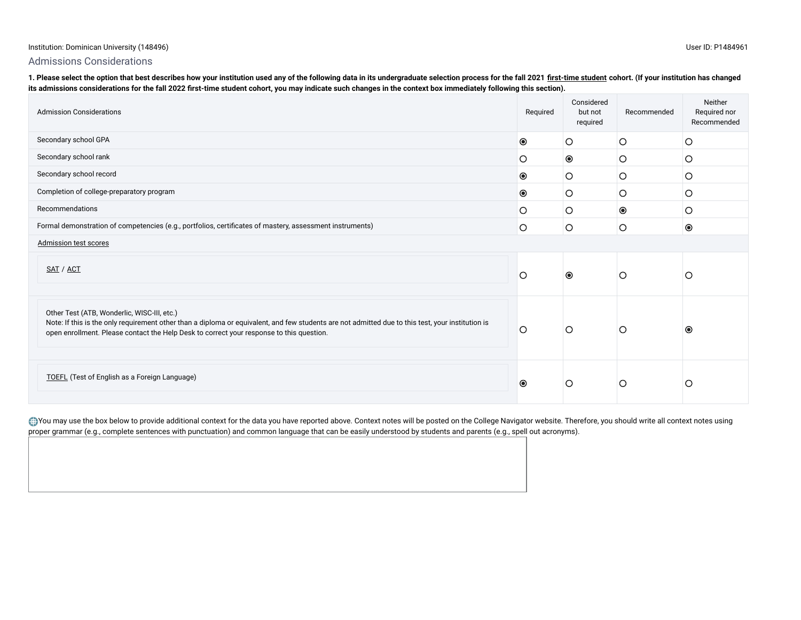#### Institution: Dominican University (148496) User ID: P1484961

## Admissions Considerations

1. Please select the option that best describes how your institution used any of the following data in its undergraduate selection process for the fall 2021 [first-time student](javascript:openglossary(241)) cohort. (If your institution has changed **its admissions considerations for the fall 2022 first-time student cohort, you may indicate such changes in the context box immediately following this section).**

| <b>Admission Considerations</b>                                                                                                                                                                                                                                                              | Required       | Considered<br>but not<br>required | Recommended    | Neither<br>Required nor<br>Recommended |
|----------------------------------------------------------------------------------------------------------------------------------------------------------------------------------------------------------------------------------------------------------------------------------------------|----------------|-----------------------------------|----------------|----------------------------------------|
| Secondary school GPA                                                                                                                                                                                                                                                                         | $\circledcirc$ | $\circ$                           | O              | O                                      |
| Secondary school rank                                                                                                                                                                                                                                                                        | O              | $\bullet$                         | O              | O                                      |
| Secondary school record                                                                                                                                                                                                                                                                      | $\bullet$      | О                                 | O              | O                                      |
| Completion of college-preparatory program                                                                                                                                                                                                                                                    | $\circledcirc$ | O                                 | O              | O                                      |
| Recommendations                                                                                                                                                                                                                                                                              | O              | Ο                                 | $\circledcirc$ | O                                      |
| Formal demonstration of competencies (e.g., portfolios, certificates of mastery, assessment instruments)                                                                                                                                                                                     | $\circ$        | $\circ$                           | O              | $\bullet$                              |
| <b>Admission test scores</b>                                                                                                                                                                                                                                                                 |                |                                   |                |                                        |
| SAT / ACT                                                                                                                                                                                                                                                                                    | O              | $\bullet$                         | O              | Ő                                      |
| Other Test (ATB, Wonderlic, WISC-III, etc.)<br>Note: If this is the only requirement other than a diploma or equivalent, and few students are not admitted due to this test, your institution is<br>open enrollment. Please contact the Help Desk to correct your response to this question. | $\circ$        | О                                 | O              | $\circledcirc$                         |
| TOEFL (Test of English as a Foreign Language)                                                                                                                                                                                                                                                | $\bullet$      | O                                 | O              | O                                      |

you may use the box below to provide additional context for the data you have reported above. Context notes will be posted on the College Navigator website. Therefore, you should write all context notes using proper grammar (e.g., complete sentences with punctuation) and common language that can be easily understood by students and parents (e.g., spell out acronyms).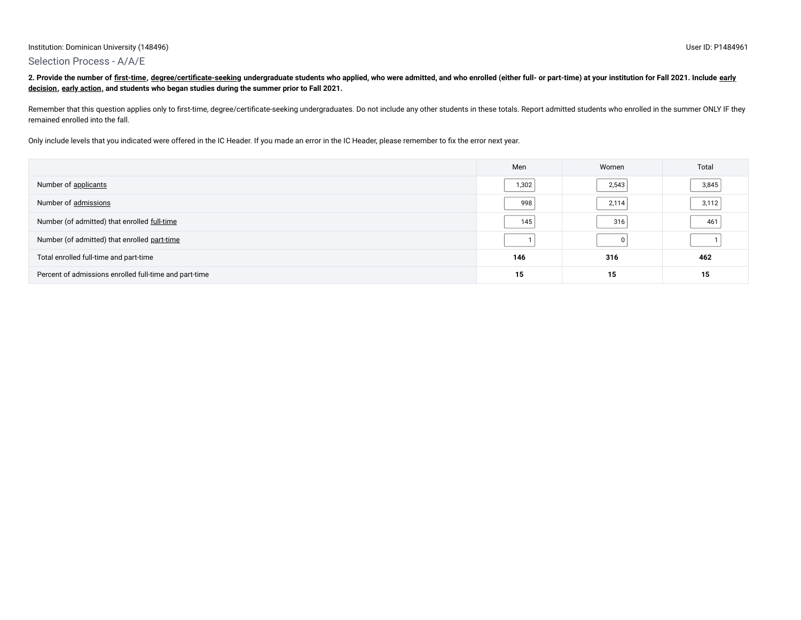## Selection Process - A/A/E

2. Provide the number of [first-time](javascript:openglossary(241))[,](javascript:openglossary(705)) [degree/certificate-seeking](javascript:openglossary(171)) [undergraduate students who applied, who were admitted, and who enrolled \(either full- or part-time\) at your institution for Fall 2021. Include](javascript:openglossary(705)) early **decision, [early action,](javascript:openglossary(703)) and students who began studies during the summer prior to Fall 2021.**

Remember that this question applies only to first-time, degree/certificate-seeking undergraduates. Do not include any other students in these totals. Report admitted students who enrolled in the summer ONLY IF they remained enrolled into the fall.

Only include levels that you indicated were offered in the IC Header. If you made an error in the IC Header, please remember to fix the error next year.

|                                                        | Men   | Women | Total |
|--------------------------------------------------------|-------|-------|-------|
| Number of applicants                                   | 1,302 | 2,543 | 3,845 |
| Number of admissions                                   | 998   | 2,114 | 3,112 |
| Number (of admitted) that enrolled full-time           | 145   | 316   | 461   |
| Number (of admitted) that enrolled part-time           |       |       |       |
| Total enrolled full-time and part-time                 | 146   | 316   | 462   |
| Percent of admissions enrolled full-time and part-time | 15    | 15    | 15    |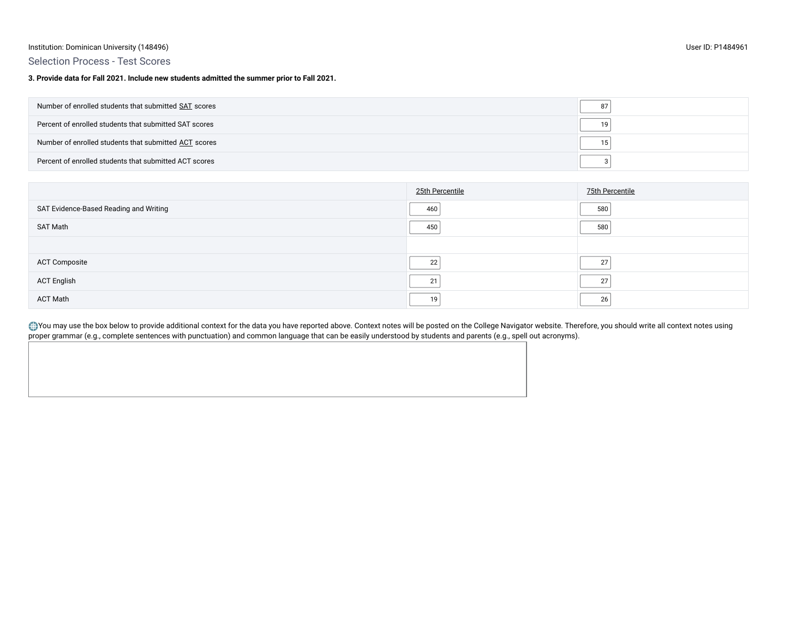#### Institution: Dominican University (148496) User ID: P1484961

## Selection Process - Test Scores

**3. Provide data for Fall 2021. Include new students admitted the summer prior to Fall 2021.**

| Number of enrolled students that submitted SAT scores  |    |
|--------------------------------------------------------|----|
| Percent of enrolled students that submitted SAT scores |    |
| Number of enrolled students that submitted ACT scores  | 15 |
| Percent of enrolled students that submitted ACT scores |    |

|                                        | 25th Percentile | 75th Percentile |
|----------------------------------------|-----------------|-----------------|
| SAT Evidence-Based Reading and Writing | 460             | 580             |
| SAT Math                               | 450             | 580             |
|                                        |                 |                 |
| <b>ACT Composite</b>                   | 22              | 27              |
| <b>ACT English</b>                     | 21              | 27              |
| ACT Math                               | 19              | 26              |

you may use the box below to provide additional context for the data you have reported above. Context notes will be posted on the College Navigator website. Therefore, you should write all context notes using proper grammar (e.g., complete sentences with punctuation) and common language that can be easily understood by students and parents (e.g., spell out acronyms).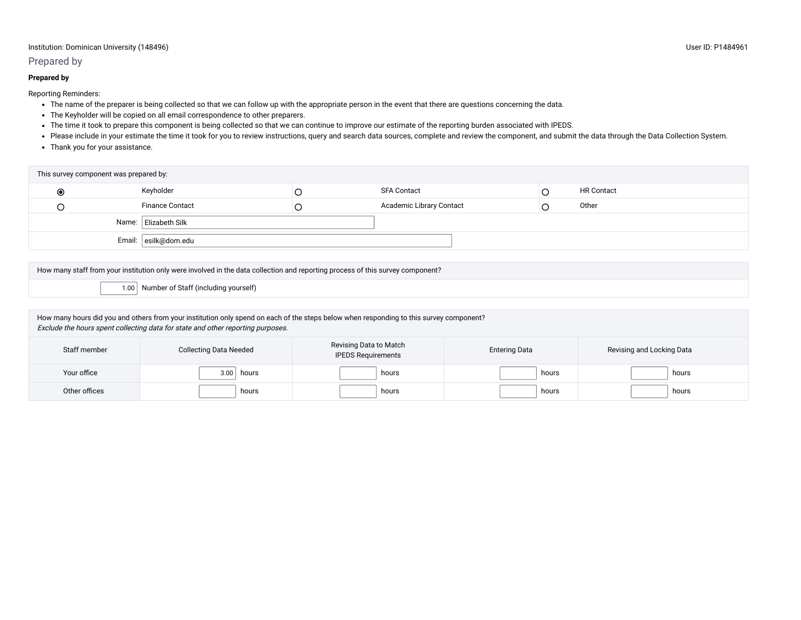#### Institution: Dominican University (148496) User ID: P1484961

### Prepared by

#### **Prepared by**

Reporting Reminders:

- The name of the preparer is being collected so that we can follow up with the appropriate person in the event that there are questions concerning the data.
- The Keyholder will be copied on all email correspondence to other preparers.
- The time it took to prepare this component is being collected so that we can continue to improve our estimate of the reporting burden associated with IPEDS.
- Please include in your estimate the time it took for you to review instructions, query and search data sources, complete and review the component, and submit the data through the Data Collection System.
- Thank you for your assistance.

| This survey component was prepared by:                                                                                                                                                                                     |                                                                                                                                |                                                     |                          |                      |       |                           |
|----------------------------------------------------------------------------------------------------------------------------------------------------------------------------------------------------------------------------|--------------------------------------------------------------------------------------------------------------------------------|-----------------------------------------------------|--------------------------|----------------------|-------|---------------------------|
| $\bullet$                                                                                                                                                                                                                  | Keyholder                                                                                                                      | O                                                   | <b>SFA Contact</b>       |                      | O     | <b>HR Contact</b>         |
|                                                                                                                                                                                                                            | <b>Finance Contact</b>                                                                                                         | О                                                   | Academic Library Contact |                      | Ω     | Other                     |
|                                                                                                                                                                                                                            | Name: Elizabeth Silk                                                                                                           |                                                     |                          |                      |       |                           |
|                                                                                                                                                                                                                            | Email: esilk@dom.edu                                                                                                           |                                                     |                          |                      |       |                           |
|                                                                                                                                                                                                                            |                                                                                                                                |                                                     |                          |                      |       |                           |
|                                                                                                                                                                                                                            | How many staff from your institution only were involved in the data collection and reporting process of this survey component? |                                                     |                          |                      |       |                           |
| 1.00                                                                                                                                                                                                                       | Number of Staff (including yourself)                                                                                           |                                                     |                          |                      |       |                           |
|                                                                                                                                                                                                                            |                                                                                                                                |                                                     |                          |                      |       |                           |
| How many hours did you and others from your institution only spend on each of the steps below when responding to this survey component?<br>Exclude the hours spent collecting data for state and other reporting purposes. |                                                                                                                                |                                                     |                          |                      |       |                           |
| Staff member                                                                                                                                                                                                               | <b>Collecting Data Needed</b>                                                                                                  | Revising Data to Match<br><b>IPEDS Requirements</b> |                          | <b>Entering Data</b> |       | Revising and Locking Data |
| Your office                                                                                                                                                                                                                | 3.00<br>hours                                                                                                                  |                                                     | hours                    |                      | hours | hours                     |
| Other offices                                                                                                                                                                                                              | hours                                                                                                                          |                                                     | hours                    |                      | hours | hours                     |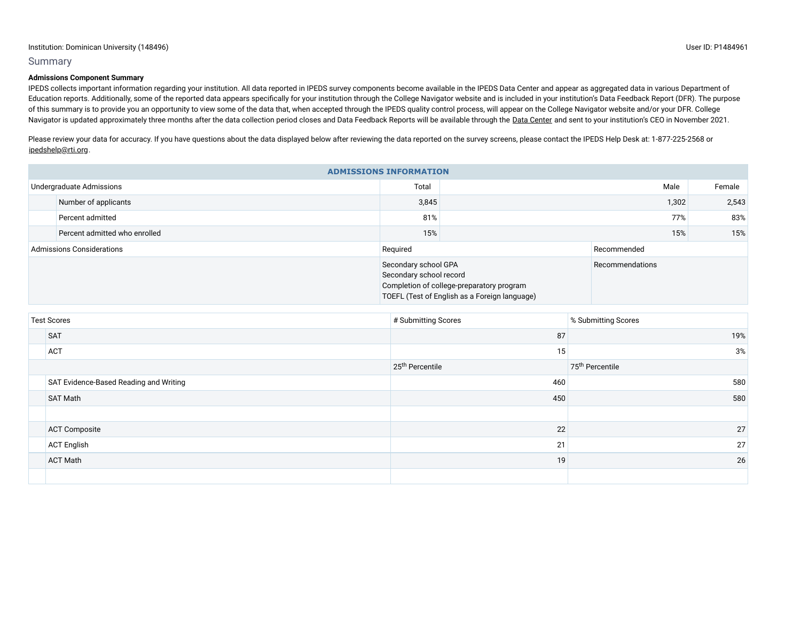#### Summary

#### **Admissions Component Summary**

IPEDS collects important information regarding your institution. All data reported in IPEDS survey components become available in the IPEDS Data Center and appear as aggregated data in various Department of Education reports. Additionally, some of the reported data appears specifically for your institution through the College Navigator website and is included in your institution's Data Feedback Report (DFR). The purpose of this summary is to provide you an opportunity to view some of the data that, when accepted through the IPEDS quality control process, will appear on the College Navigator website and/or your DFR. College Navigator is updated approximately three months after the data collection period closes and Data Feedback Reports will be available through the Data [Center](https://nces.ed.gov/ipeds/use-the-data) and sent to your institution's CEO in November 2021.

Please review your data for accuracy. If you have questions about the data displayed below after reviewing the data reported on the survey screens, please contact the IPEDS Help Desk at: 1-877-225-2568 or [ipedshelp@rti.org.](mailto:ipedshelp@rti.org)

| <b>ADMISSIONS INFORMATION</b>    |                               |                                                                                                                                               |       |                 |        |  |
|----------------------------------|-------------------------------|-----------------------------------------------------------------------------------------------------------------------------------------------|-------|-----------------|--------|--|
|                                  | Undergraduate Admissions      | Total                                                                                                                                         | Male  |                 | Female |  |
|                                  | Number of applicants          | 3,845                                                                                                                                         | 1,302 |                 | 2,543  |  |
|                                  | Percent admitted              | 81%                                                                                                                                           | 77%   |                 | 83%    |  |
|                                  | Percent admitted who enrolled | 15%                                                                                                                                           |       | 15%             | 15%    |  |
| <b>Admissions Considerations</b> |                               | Required                                                                                                                                      |       | Recommended     |        |  |
|                                  |                               | Secondary school GPA<br>Secondary school record<br>Completion of college-preparatory program<br>TOEFL (Test of English as a Foreign language) |       | Recommendations |        |  |

| <b>Test Scores</b>                     | # Submitting Scores         | % Submitting Scores         |
|----------------------------------------|-----------------------------|-----------------------------|
| <b>SAT</b>                             | 87                          | 19%                         |
| <b>ACT</b>                             | 15                          | 3%                          |
|                                        | 25 <sup>th</sup> Percentile | 75 <sup>th</sup> Percentile |
| SAT Evidence-Based Reading and Writing | 460                         | 580                         |
| SAT Math                               | 450                         | 580                         |
|                                        |                             |                             |
| <b>ACT Composite</b>                   | 22                          | 27                          |
| <b>ACT English</b>                     | 21                          | 27                          |
| <b>ACT Math</b>                        | 19                          | 26                          |
|                                        |                             |                             |